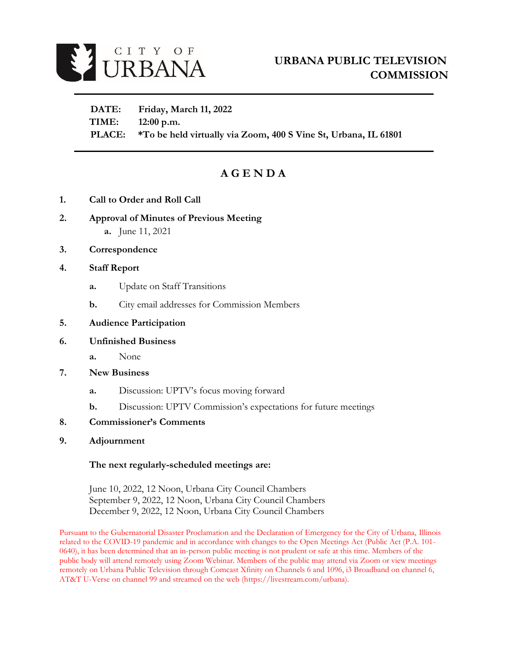

 **DATE: Friday, March 11, 2022 TIME: 12:00 p.m. PLACE: \*To be held virtually via Zoom, 400 S Vine St, Urbana, IL 61801**

# **A G E N D A**

- **1. Call to Order and Roll Call**
- **2. Approval of Minutes of Previous Meeting a.** June 11, 2021
- **3. Correspondence**

#### **4. Staff Report**

- **a.** Update on Staff Transitions
- **b.** City email addresses for Commission Members
- **5. Audience Participation**

#### **6. Unfinished Business**

- **a.** None
- **7. New Business** 
	- **a.** Discussion: UPTV's focus moving forward
	- **b.** Discussion: UPTV Commission's expectations for future meetings
- **8. Commissioner's Comments**
- **9. Adjournment**

#### **The next regularly-scheduled meetings are:**

June 10, 2022, 12 Noon, Urbana City Council Chambers September 9, 2022, 12 Noon, Urbana City Council Chambers December 9, 2022, 12 Noon, Urbana City Council Chambers

Pursuant to the Gubernatorial Disaster Proclamation and the Declaration of Emergency for the City of Urbana, Illinois related to the COVID-19 pandemic and in accordance with changes to the Open Meetings Act (Public Act (P.A. 101- 0640), it has been determined that an in-person public meeting is not prudent or safe at this time. Members of the public body will attend remotely using Zoom Webinar. Members of the public may attend via Zoom or view meetings remotely on Urbana Public Television through Comcast Xfinity on Channels 6 and 1096, i3 Broadband on channel 6, AT&T U-Verse on channel 99 and streamed on the web (https://livestream.com/urbana).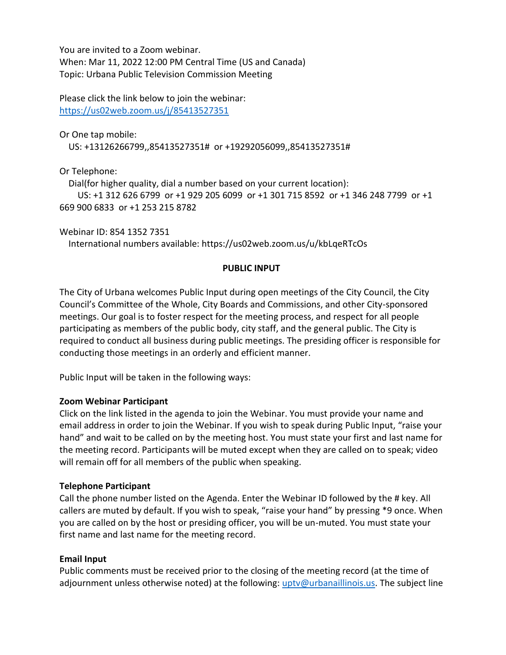You are invited to a Zoom webinar. When: Mar 11, 2022 12:00 PM Central Time (US and Canada) Topic: Urbana Public Television Commission Meeting

Please click the link below to join the webinar: <https://us02web.zoom.us/j/85413527351>

Or One tap mobile:

US: +13126266799,,85413527351# or +19292056099,,85413527351#

Or Telephone:

Dial(for higher quality, dial a number based on your current location):

 US: +1 312 626 6799 or +1 929 205 6099 or +1 301 715 8592 or +1 346 248 7799 or +1 669 900 6833 or +1 253 215 8782

Webinar ID: 854 1352 7351

International numbers available: https://us02web.zoom.us/u/kbLqeRTcOs

## **PUBLIC INPUT**

The City of Urbana welcomes Public Input during open meetings of the City Council, the City Council's Committee of the Whole, City Boards and Commissions, and other City-sponsored meetings. Our goal is to foster respect for the meeting process, and respect for all people participating as members of the public body, city staff, and the general public. The City is required to conduct all business during public meetings. The presiding officer is responsible for conducting those meetings in an orderly and efficient manner.

Public Input will be taken in the following ways:

#### **Zoom Webinar Participant**

Click on the link listed in the agenda to join the Webinar. You must provide your name and email address in order to join the Webinar. If you wish to speak during Public Input, "raise your hand" and wait to be called on by the meeting host. You must state your first and last name for the meeting record. Participants will be muted except when they are called on to speak; video will remain off for all members of the public when speaking.

#### **Telephone Participant**

Call the phone number listed on the Agenda. Enter the Webinar ID followed by the # key. All callers are muted by default. If you wish to speak, "raise your hand" by pressing \*9 once. When you are called on by the host or presiding officer, you will be un-muted. You must state your first name and last name for the meeting record.

# **Email Input**

Public comments must be received prior to the closing of the meeting record (at the time of adjournment unless otherwise noted) at the following: [uptv@urbanaillinois.us.](file://///Zota/IT$/UPTV/UPTVCommission/Agendas/2020/uptv@urbanaillinois.us) The subject line